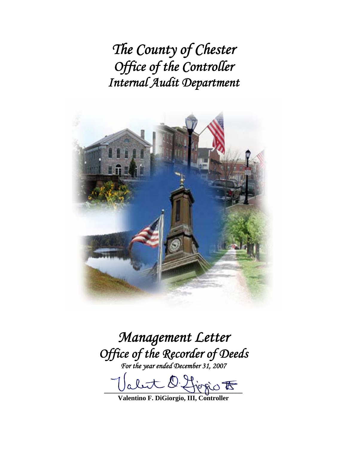*The County of Chester Office of the Controller Internal Audit Department* 



*Management Letter Office of the Recorder of Deeds For the year ended December 31, 2007* 

 $D$  first  $\sigma$ 

**Valentino F. DiGiorgio, III, Controller**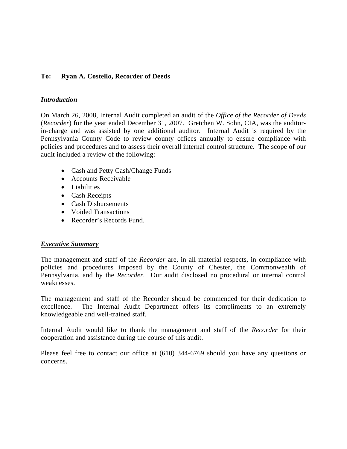# **To: Ryan A. Costello, Recorder of Deeds**

#### *Introduction*

On March 26, 2008, Internal Audit completed an audit of the *Office of the Recorder of Deeds* (*Recorder*) for the year ended December 31, 2007. Gretchen W. Sohn, CIA, was the auditorin-charge and was assisted by one additional auditor. Internal Audit is required by the Pennsylvania County Code to review county offices annually to ensure compliance with policies and procedures and to assess their overall internal control structure. The scope of our audit included a review of the following:

- Cash and Petty Cash/Change Funds
- Accounts Receivable
- Liabilities
- Cash Receipts
- Cash Disbursements
- Voided Transactions
- Recorder's Records Fund.

# *Executive Summary*

The management and staff of the *Recorder* are, in all material respects, in compliance with policies and procedures imposed by the County of Chester, the Commonwealth of Pennsylvania, and by the *Recorder*.Our audit disclosed no procedural or internal control weaknesses.

The management and staff of the Recorder should be commended for their dedication to excellence. The Internal Audit Department offers its compliments to an extremely knowledgeable and well-trained staff.

Internal Audit would like to thank the management and staff of the *Recorder* for their cooperation and assistance during the course of this audit.

Please feel free to contact our office at (610) 344-6769 should you have any questions or concerns.